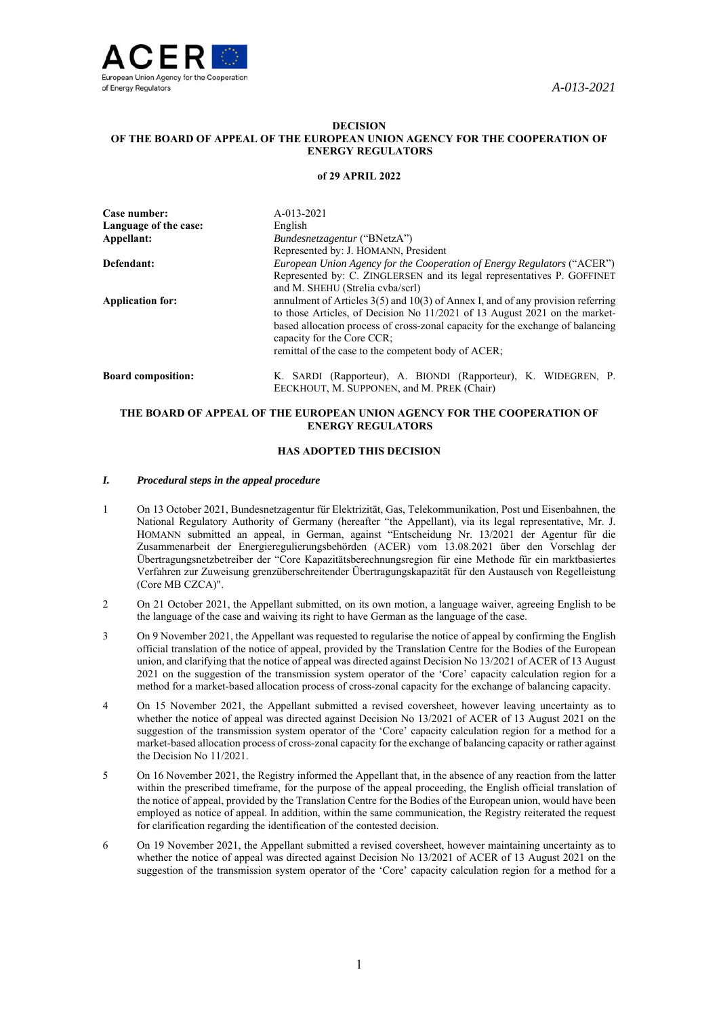

### **DECISION OF THE BOARD OF APPEAL OF THE EUROPEAN UNION AGENCY FOR THE COOPERATION OF ENERGY REGULATORS**

#### **of 29 APRIL 2022**

| Case number:<br>Language of the case:<br>Appellant: | A-013-2021<br>English<br><i>Bundesnetzagentur</i> ("BNetzA")                                                                                                                                                                                                                                                                                                                                     |
|-----------------------------------------------------|--------------------------------------------------------------------------------------------------------------------------------------------------------------------------------------------------------------------------------------------------------------------------------------------------------------------------------------------------------------------------------------------------|
| Defendant:                                          | Represented by: J. HOMANN, President<br>European Union Agency for the Cooperation of Energy Regulators ("ACER")                                                                                                                                                                                                                                                                                  |
| <b>Application for:</b>                             | Represented by: C. ZINGLERSEN and its legal representatives P. GOFFINET<br>and M. SHEHU (Strelia cvba/scrl)<br>annulment of Articles $3(5)$ and $10(3)$ of Annex I, and of any provision referring<br>to those Articles, of Decision No 11/2021 of 13 August 2021 on the market-<br>based allocation process of cross-zonal capacity for the exchange of balancing<br>capacity for the Core CCR; |
|                                                     | remittal of the case to the competent body of ACER;                                                                                                                                                                                                                                                                                                                                              |
| <b>Board composition:</b>                           | K. SARDI (Rapporteur), A. BIONDI (Rapporteur), K. WIDEGREN, P.<br>EECKHOUT, M. SUPPONEN, and M. PREK (Chair)                                                                                                                                                                                                                                                                                     |

# **THE BOARD OF APPEAL OF THE EUROPEAN UNION AGENCY FOR THE COOPERATION OF ENERGY REGULATORS**

### **HAS ADOPTED THIS DECISION**

### *I. Procedural steps in the appeal procedure*

- 1 On 13 October 2021, Bundesnetzagentur für Elektrizität, Gas, Telekommunikation, Post und Eisenbahnen, the National Regulatory Authority of Germany (hereafter "the Appellant), via its legal representative, Mr. J. HOMANN submitted an appeal, in German, against "Entscheidung Nr. 13/2021 der Agentur für die Zusammenarbeit der Energieregulierungsbehörden (ACER) vom 13.08.2021 über den Vorschlag der Übertragungsnetzbetreiber der "Core Kapazitätsberechnungsregion für eine Methode für ein marktbasiertes Verfahren zur Zuweisung grenzüberschreitender Übertragungskapazität für den Austausch von Regelleistung (Core MB CZCA)".
- 2 On 21 October 2021, the Appellant submitted, on its own motion, a language waiver, agreeing English to be the language of the case and waiving its right to have German as the language of the case.
- 3 On 9 November 2021, the Appellant was requested to regularise the notice of appeal by confirming the English official translation of the notice of appeal, provided by the Translation Centre for the Bodies of the European union, and clarifying that the notice of appeal was directed against Decision No 13/2021 of ACER of 13 August 2021 on the suggestion of the transmission system operator of the 'Core' capacity calculation region for a method for a market-based allocation process of cross-zonal capacity for the exchange of balancing capacity.
- 4 On 15 November 2021, the Appellant submitted a revised coversheet, however leaving uncertainty as to whether the notice of appeal was directed against Decision No 13/2021 of ACER of 13 August 2021 on the suggestion of the transmission system operator of the 'Core' capacity calculation region for a method for a market-based allocation process of cross-zonal capacity for the exchange of balancing capacity or rather against the Decision No 11/2021.
- 5 On 16 November 2021, the Registry informed the Appellant that, in the absence of any reaction from the latter within the prescribed timeframe, for the purpose of the appeal proceeding, the English official translation of the notice of appeal, provided by the Translation Centre for the Bodies of the European union, would have been employed as notice of appeal. In addition, within the same communication, the Registry reiterated the request for clarification regarding the identification of the contested decision.
- 6 On 19 November 2021, the Appellant submitted a revised coversheet, however maintaining uncertainty as to whether the notice of appeal was directed against Decision No 13/2021 of ACER of 13 August 2021 on the suggestion of the transmission system operator of the 'Core' capacity calculation region for a method for a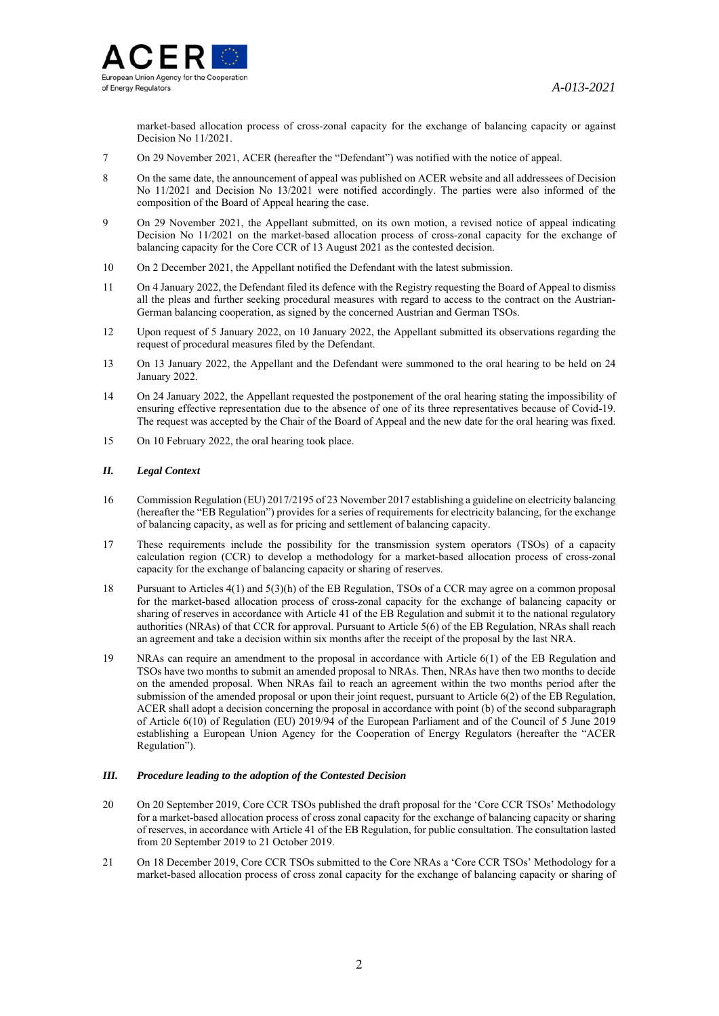

market-based allocation process of cross-zonal capacity for the exchange of balancing capacity or against Decision No 11/2021.

- 7 On 29 November 2021, ACER (hereafter the "Defendant") was notified with the notice of appeal.
- 8 On the same date, the announcement of appeal was published on ACER website and all addressees of Decision No 11/2021 and Decision No 13/2021 were notified accordingly. The parties were also informed of the composition of the Board of Appeal hearing the case.
- 9 On 29 November 2021, the Appellant submitted, on its own motion, a revised notice of appeal indicating Decision No 11/2021 on the market-based allocation process of cross-zonal capacity for the exchange of balancing capacity for the Core CCR of 13 August 2021 as the contested decision.
- 10 On 2 December 2021, the Appellant notified the Defendant with the latest submission.
- 11 On 4 January 2022, the Defendant filed its defence with the Registry requesting the Board of Appeal to dismiss all the pleas and further seeking procedural measures with regard to access to the contract on the Austrian-German balancing cooperation, as signed by the concerned Austrian and German TSOs.
- 12 Upon request of 5 January 2022, on 10 January 2022, the Appellant submitted its observations regarding the request of procedural measures filed by the Defendant.
- 13 On 13 January 2022, the Appellant and the Defendant were summoned to the oral hearing to be held on 24 January 2022.
- 14 On 24 January 2022, the Appellant requested the postponement of the oral hearing stating the impossibility of ensuring effective representation due to the absence of one of its three representatives because of Covid-19. The request was accepted by the Chair of the Board of Appeal and the new date for the oral hearing was fixed.
- 15 On 10 February 2022, the oral hearing took place.

## *II. Legal Context*

- 16 Commission Regulation (EU) 2017/2195 of 23 November 2017 establishing a guideline on electricity balancing (hereafter the "EB Regulation") provides for a series of requirements for electricity balancing, for the exchange of balancing capacity, as well as for pricing and settlement of balancing capacity.
- 17 These requirements include the possibility for the transmission system operators (TSOs) of a capacity calculation region (CCR) to develop a methodology for a market-based allocation process of cross-zonal capacity for the exchange of balancing capacity or sharing of reserves.
- 18 Pursuant to Articles 4(1) and 5(3)(h) of the EB Regulation, TSOs of a CCR may agree on a common proposal for the market-based allocation process of cross-zonal capacity for the exchange of balancing capacity or sharing of reserves in accordance with Article 41 of the EB Regulation and submit it to the national regulatory authorities (NRAs) of that CCR for approval. Pursuant to Article 5(6) of the EB Regulation, NRAs shall reach an agreement and take a decision within six months after the receipt of the proposal by the last NRA.
- 19 NRAs can require an amendment to the proposal in accordance with Article 6(1) of the EB Regulation and TSOs have two months to submit an amended proposal to NRAs. Then, NRAs have then two months to decide on the amended proposal. When NRAs fail to reach an agreement within the two months period after the submission of the amended proposal or upon their joint request, pursuant to Article 6(2) of the EB Regulation, ACER shall adopt a decision concerning the proposal in accordance with point (b) of the second subparagraph of Article 6(10) of Regulation (EU) 2019/94 of the European Parliament and of the Council of 5 June 2019 establishing a European Union Agency for the Cooperation of Energy Regulators (hereafter the "ACER Regulation").

### *III. Procedure leading to the adoption of the Contested Decision*

- 20 On 20 September 2019, Core CCR TSOs published the draft proposal for the 'Core CCR TSOs' Methodology for a market-based allocation process of cross zonal capacity for the exchange of balancing capacity or sharing of reserves, in accordance with Article 41 of the EB Regulation, for public consultation. The consultation lasted from 20 September 2019 to 21 October 2019.
- 21 On 18 December 2019, Core CCR TSOs submitted to the Core NRAs a 'Core CCR TSOs' Methodology for a market-based allocation process of cross zonal capacity for the exchange of balancing capacity or sharing of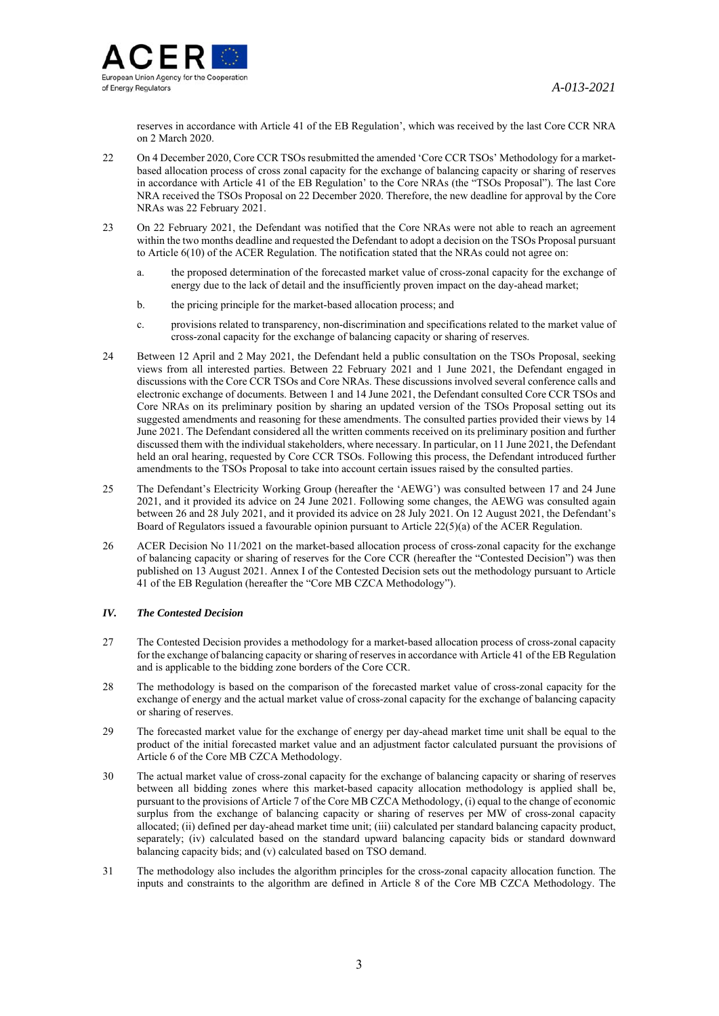

reserves in accordance with Article 41 of the EB Regulation', which was received by the last Core CCR NRA on 2 March 2020.

- 22 On 4 December 2020, Core CCR TSOs resubmitted the amended 'Core CCR TSOs' Methodology for a marketbased allocation process of cross zonal capacity for the exchange of balancing capacity or sharing of reserves in accordance with Article 41 of the EB Regulation' to the Core NRAs (the "TSOs Proposal"). The last Core NRA received the TSOs Proposal on 22 December 2020. Therefore, the new deadline for approval by the Core NRAs was 22 February 2021.
- 23 On 22 February 2021, the Defendant was notified that the Core NRAs were not able to reach an agreement within the two months deadline and requested the Defendant to adopt a decision on the TSOs Proposal pursuant to Article 6(10) of the ACER Regulation. The notification stated that the NRAs could not agree on:
	- a. the proposed determination of the forecasted market value of cross-zonal capacity for the exchange of energy due to the lack of detail and the insufficiently proven impact on the day-ahead market;
	- b. the pricing principle for the market-based allocation process; and
	- c. provisions related to transparency, non-discrimination and specifications related to the market value of cross-zonal capacity for the exchange of balancing capacity or sharing of reserves.
- 24 Between 12 April and 2 May 2021, the Defendant held a public consultation on the TSOs Proposal, seeking views from all interested parties. Between 22 February 2021 and 1 June 2021, the Defendant engaged in discussions with the Core CCR TSOs and Core NRAs. These discussions involved several conference calls and electronic exchange of documents. Between 1 and 14 June 2021, the Defendant consulted Core CCR TSOs and Core NRAs on its preliminary position by sharing an updated version of the TSOs Proposal setting out its suggested amendments and reasoning for these amendments. The consulted parties provided their views by 14 June 2021. The Defendant considered all the written comments received on its preliminary position and further discussed them with the individual stakeholders, where necessary. In particular, on 11 June 2021, the Defendant held an oral hearing, requested by Core CCR TSOs. Following this process, the Defendant introduced further amendments to the TSOs Proposal to take into account certain issues raised by the consulted parties.
- 25 The Defendant's Electricity Working Group (hereafter the 'AEWG') was consulted between 17 and 24 June 2021, and it provided its advice on 24 June 2021. Following some changes, the AEWG was consulted again between 26 and 28 July 2021, and it provided its advice on 28 July 2021. On 12 August 2021, the Defendant's Board of Regulators issued a favourable opinion pursuant to Article 22(5)(a) of the ACER Regulation.
- 26 ACER Decision No 11/2021 on the market-based allocation process of cross-zonal capacity for the exchange of balancing capacity or sharing of reserves for the Core CCR (hereafter the "Contested Decision") was then published on 13 August 2021. Annex I of the Contested Decision sets out the methodology pursuant to Article 41 of the EB Regulation (hereafter the "Core MB CZCA Methodology").

## *IV. The Contested Decision*

- 27 The Contested Decision provides a methodology for a market-based allocation process of cross-zonal capacity for the exchange of balancing capacity or sharing of reserves in accordance with Article 41 of the EB Regulation and is applicable to the bidding zone borders of the Core CCR.
- 28 The methodology is based on the comparison of the forecasted market value of cross-zonal capacity for the exchange of energy and the actual market value of cross-zonal capacity for the exchange of balancing capacity or sharing of reserves.
- 29 The forecasted market value for the exchange of energy per day-ahead market time unit shall be equal to the product of the initial forecasted market value and an adjustment factor calculated pursuant the provisions of Article 6 of the Core MB CZCA Methodology.
- 30 The actual market value of cross-zonal capacity for the exchange of balancing capacity or sharing of reserves between all bidding zones where this market-based capacity allocation methodology is applied shall be, pursuant to the provisions of Article 7 of the Core MB CZCA Methodology, (i) equal to the change of economic surplus from the exchange of balancing capacity or sharing of reserves per MW of cross-zonal capacity allocated; (ii) defined per day-ahead market time unit; (iii) calculated per standard balancing capacity product, separately; (iv) calculated based on the standard upward balancing capacity bids or standard downward balancing capacity bids; and (v) calculated based on TSO demand.
- 31 The methodology also includes the algorithm principles for the cross-zonal capacity allocation function. The inputs and constraints to the algorithm are defined in Article 8 of the Core MB CZCA Methodology. The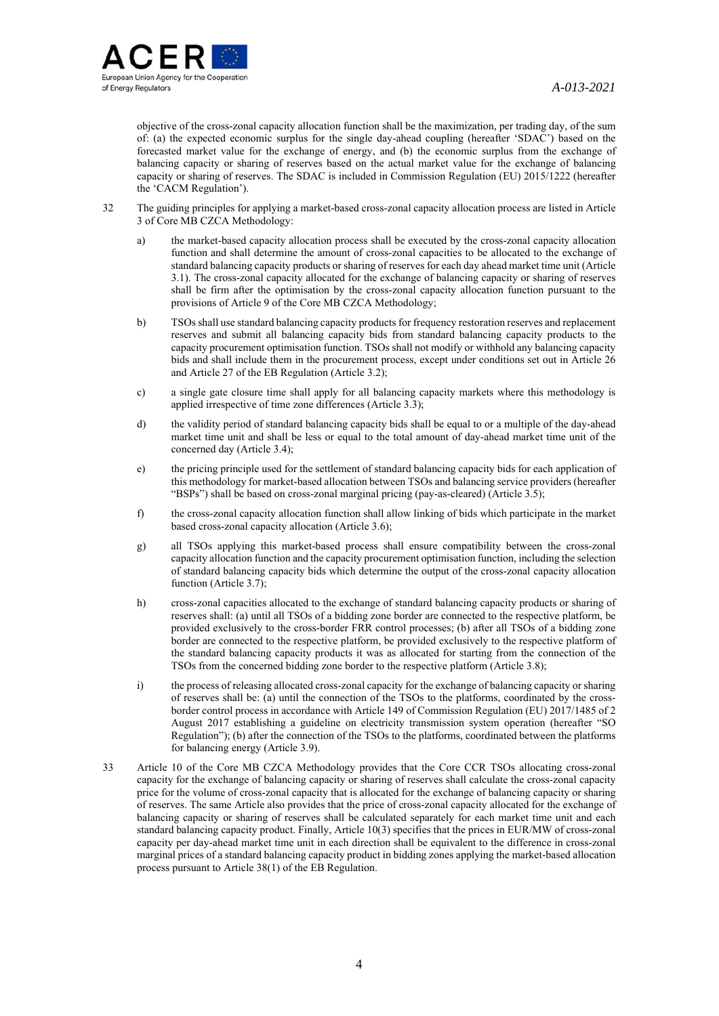

objective of the cross-zonal capacity allocation function shall be the maximization, per trading day, of the sum of: (a) the expected economic surplus for the single day-ahead coupling (hereafter 'SDAC') based on the forecasted market value for the exchange of energy, and (b) the economic surplus from the exchange of balancing capacity or sharing of reserves based on the actual market value for the exchange of balancing capacity or sharing of reserves. The SDAC is included in Commission Regulation (EU) 2015/1222 (hereafter the 'CACM Regulation').

- 32 The guiding principles for applying a market-based cross-zonal capacity allocation process are listed in Article 3 of Core MB CZCA Methodology:
	- a) the market-based capacity allocation process shall be executed by the cross-zonal capacity allocation function and shall determine the amount of cross-zonal capacities to be allocated to the exchange of standard balancing capacity products or sharing of reserves for each day ahead market time unit (Article 3.1). The cross-zonal capacity allocated for the exchange of balancing capacity or sharing of reserves shall be firm after the optimisation by the cross-zonal capacity allocation function pursuant to the provisions of Article 9 of the Core MB CZCA Methodology;
	- b) TSOs shall use standard balancing capacity products for frequency restoration reserves and replacement reserves and submit all balancing capacity bids from standard balancing capacity products to the capacity procurement optimisation function. TSOs shall not modify or withhold any balancing capacity bids and shall include them in the procurement process, except under conditions set out in Article 26 and Article 27 of the EB Regulation (Article 3.2);
	- c) a single gate closure time shall apply for all balancing capacity markets where this methodology is applied irrespective of time zone differences (Article 3.3);
	- d) the validity period of standard balancing capacity bids shall be equal to or a multiple of the day-ahead market time unit and shall be less or equal to the total amount of day-ahead market time unit of the concerned day (Article 3.4);
	- e) the pricing principle used for the settlement of standard balancing capacity bids for each application of this methodology for market-based allocation between TSOs and balancing service providers (hereafter "BSPs") shall be based on cross-zonal marginal pricing (pay-as-cleared) (Article 3.5);
	- f) the cross-zonal capacity allocation function shall allow linking of bids which participate in the market based cross-zonal capacity allocation (Article 3.6);
	- g) all TSOs applying this market-based process shall ensure compatibility between the cross-zonal capacity allocation function and the capacity procurement optimisation function, including the selection of standard balancing capacity bids which determine the output of the cross-zonal capacity allocation function (Article 3.7);
	- h) cross-zonal capacities allocated to the exchange of standard balancing capacity products or sharing of reserves shall: (a) until all TSOs of a bidding zone border are connected to the respective platform, be provided exclusively to the cross-border FRR control processes; (b) after all TSOs of a bidding zone border are connected to the respective platform, be provided exclusively to the respective platform of the standard balancing capacity products it was as allocated for starting from the connection of the TSOs from the concerned bidding zone border to the respective platform (Article 3.8);
	- i) the process of releasing allocated cross-zonal capacity for the exchange of balancing capacity or sharing of reserves shall be: (a) until the connection of the TSOs to the platforms, coordinated by the crossborder control process in accordance with Article 149 of Commission Regulation (EU) 2017/1485 of 2 August 2017 establishing a guideline on electricity transmission system operation (hereafter "SO Regulation"); (b) after the connection of the TSOs to the platforms, coordinated between the platforms for balancing energy (Article 3.9).
- 33 Article 10 of the Core MB CZCA Methodology provides that the Core CCR TSOs allocating cross-zonal capacity for the exchange of balancing capacity or sharing of reserves shall calculate the cross-zonal capacity price for the volume of cross-zonal capacity that is allocated for the exchange of balancing capacity or sharing of reserves. The same Article also provides that the price of cross-zonal capacity allocated for the exchange of balancing capacity or sharing of reserves shall be calculated separately for each market time unit and each standard balancing capacity product. Finally, Article 10(3) specifies that the prices in EUR/MW of cross-zonal capacity per day-ahead market time unit in each direction shall be equivalent to the difference in cross-zonal marginal prices of a standard balancing capacity product in bidding zones applying the market-based allocation process pursuant to Article 38(1) of the EB Regulation.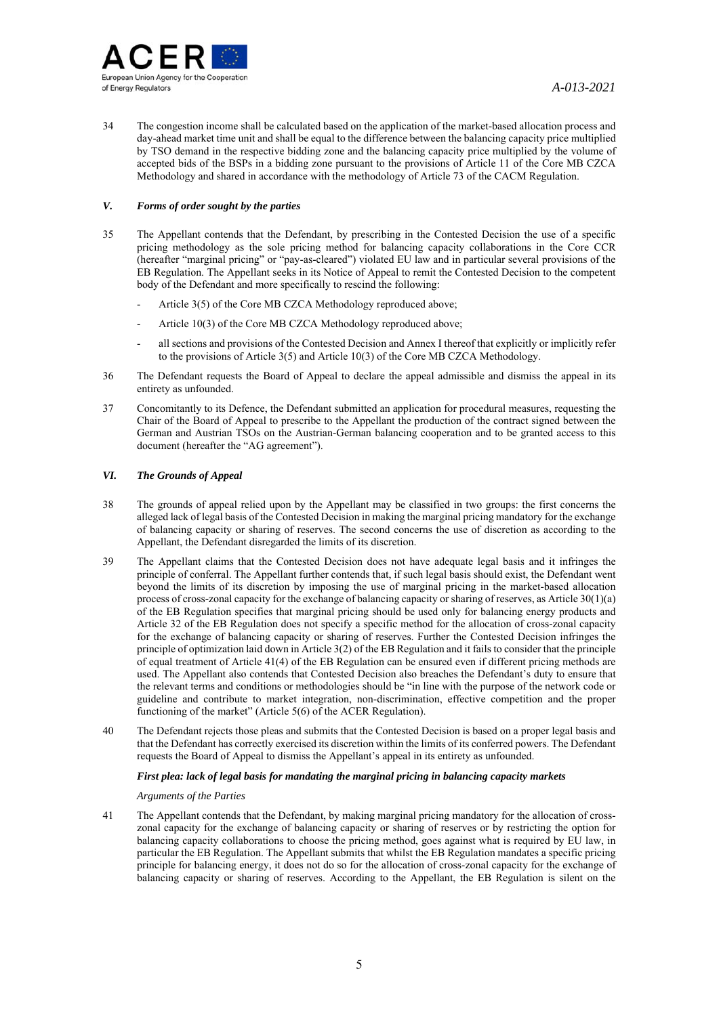

34 The congestion income shall be calculated based on the application of the market-based allocation process and day-ahead market time unit and shall be equal to the difference between the balancing capacity price multiplied by TSO demand in the respective bidding zone and the balancing capacity price multiplied by the volume of accepted bids of the BSPs in a bidding zone pursuant to the provisions of Article 11 of the Core MB CZCA Methodology and shared in accordance with the methodology of Article 73 of the CACM Regulation.

## *V. Forms of order sought by the parties*

- 35 The Appellant contends that the Defendant, by prescribing in the Contested Decision the use of a specific pricing methodology as the sole pricing method for balancing capacity collaborations in the Core CCR (hereafter "marginal pricing" or "pay-as-cleared") violated EU law and in particular several provisions of the EB Regulation. The Appellant seeks in its Notice of Appeal to remit the Contested Decision to the competent body of the Defendant and more specifically to rescind the following:
	- Article 3(5) of the Core MB CZCA Methodology reproduced above:
	- Article 10(3) of the Core MB CZCA Methodology reproduced above;
	- all sections and provisions of the Contested Decision and Annex I thereof that explicitly or implicitly refer to the provisions of Article 3(5) and Article 10(3) of the Core MB CZCA Methodology.
- 36 The Defendant requests the Board of Appeal to declare the appeal admissible and dismiss the appeal in its entirety as unfounded.
- 37 Concomitantly to its Defence, the Defendant submitted an application for procedural measures, requesting the Chair of the Board of Appeal to prescribe to the Appellant the production of the contract signed between the German and Austrian TSOs on the Austrian-German balancing cooperation and to be granted access to this document (hereafter the "AG agreement").

### *VI. The Grounds of Appeal*

- 38 The grounds of appeal relied upon by the Appellant may be classified in two groups: the first concerns the alleged lack of legal basis of the Contested Decision in making the marginal pricing mandatory for the exchange of balancing capacity or sharing of reserves. The second concerns the use of discretion as according to the Appellant, the Defendant disregarded the limits of its discretion.
- 39 The Appellant claims that the Contested Decision does not have adequate legal basis and it infringes the principle of conferral. The Appellant further contends that, if such legal basis should exist, the Defendant went beyond the limits of its discretion by imposing the use of marginal pricing in the market-based allocation process of cross-zonal capacity for the exchange of balancing capacity or sharing of reserves, as Article 30(1)(a) of the EB Regulation specifies that marginal pricing should be used only for balancing energy products and Article 32 of the EB Regulation does not specify a specific method for the allocation of cross-zonal capacity for the exchange of balancing capacity or sharing of reserves. Further the Contested Decision infringes the principle of optimization laid down in Article 3(2) of the EB Regulation and it fails to consider that the principle of equal treatment of Article 41(4) of the EB Regulation can be ensured even if different pricing methods are used. The Appellant also contends that Contested Decision also breaches the Defendant's duty to ensure that the relevant terms and conditions or methodologies should be "in line with the purpose of the network code or guideline and contribute to market integration, non-discrimination, effective competition and the proper functioning of the market" (Article 5(6) of the ACER Regulation).
- 40 The Defendant rejects those pleas and submits that the Contested Decision is based on a proper legal basis and that the Defendant has correctly exercised its discretion within the limits of its conferred powers. The Defendant requests the Board of Appeal to dismiss the Appellant's appeal in its entirety as unfounded.

### *First plea: lack of legal basis for mandating the marginal pricing in balancing capacity markets*

#### *Arguments of the Parties*

41 The Appellant contends that the Defendant, by making marginal pricing mandatory for the allocation of crosszonal capacity for the exchange of balancing capacity or sharing of reserves or by restricting the option for balancing capacity collaborations to choose the pricing method, goes against what is required by EU law, in particular the EB Regulation. The Appellant submits that whilst the EB Regulation mandates a specific pricing principle for balancing energy, it does not do so for the allocation of cross-zonal capacity for the exchange of balancing capacity or sharing of reserves. According to the Appellant, the EB Regulation is silent on the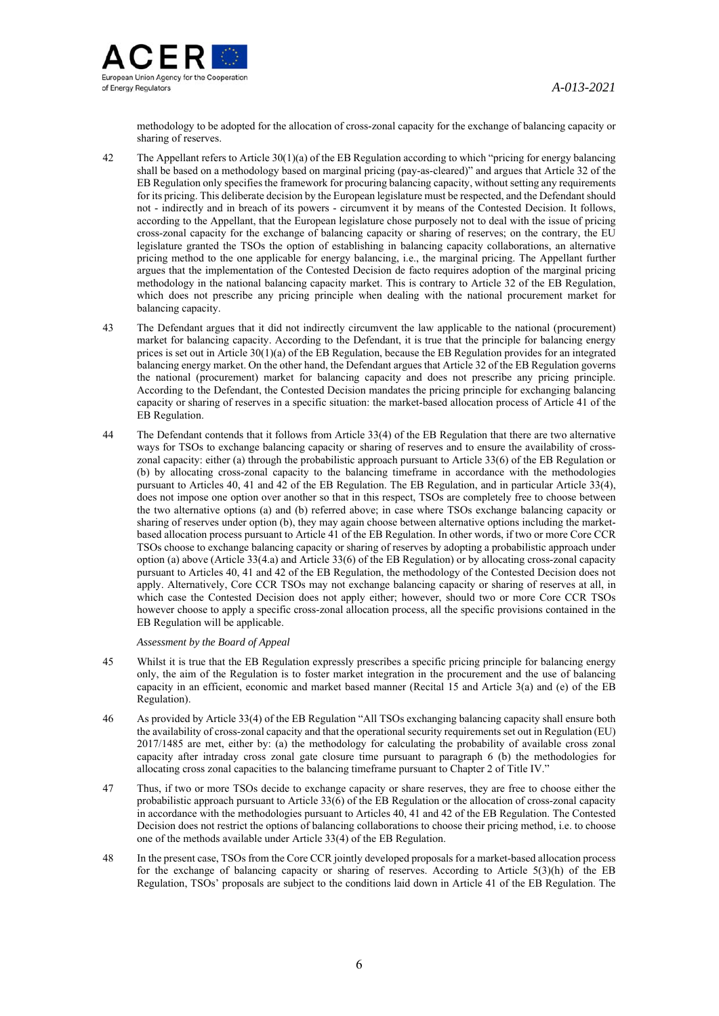

methodology to be adopted for the allocation of cross-zonal capacity for the exchange of balancing capacity or sharing of reserves.

- 42 The Appellant refers to Article 30(1)(a) of the EB Regulation according to which "pricing for energy balancing shall be based on a methodology based on marginal pricing (pay-as-cleared)" and argues that Article 32 of the EB Regulation only specifies the framework for procuring balancing capacity, without setting any requirements for its pricing. This deliberate decision by the European legislature must be respected, and the Defendant should not - indirectly and in breach of its powers - circumvent it by means of the Contested Decision. It follows, according to the Appellant, that the European legislature chose purposely not to deal with the issue of pricing cross-zonal capacity for the exchange of balancing capacity or sharing of reserves; on the contrary, the EU legislature granted the TSOs the option of establishing in balancing capacity collaborations, an alternative pricing method to the one applicable for energy balancing, i.e., the marginal pricing. The Appellant further argues that the implementation of the Contested Decision de facto requires adoption of the marginal pricing methodology in the national balancing capacity market. This is contrary to Article 32 of the EB Regulation, which does not prescribe any pricing principle when dealing with the national procurement market for balancing capacity.
- 43 The Defendant argues that it did not indirectly circumvent the law applicable to the national (procurement) market for balancing capacity. According to the Defendant, it is true that the principle for balancing energy prices is set out in Article 30(1)(a) of the EB Regulation, because the EB Regulation provides for an integrated balancing energy market. On the other hand, the Defendant argues that Article 32 of the EB Regulation governs the national (procurement) market for balancing capacity and does not prescribe any pricing principle. According to the Defendant, the Contested Decision mandates the pricing principle for exchanging balancing capacity or sharing of reserves in a specific situation: the market-based allocation process of Article 41 of the EB Regulation.
- 44 The Defendant contends that it follows from Article 33(4) of the EB Regulation that there are two alternative ways for TSOs to exchange balancing capacity or sharing of reserves and to ensure the availability of crosszonal capacity: either (a) through the probabilistic approach pursuant to Article 33(6) of the EB Regulation or (b) by allocating cross-zonal capacity to the balancing timeframe in accordance with the methodologies pursuant to Articles 40, 41 and 42 of the EB Regulation. The EB Regulation, and in particular Article 33(4), does not impose one option over another so that in this respect, TSOs are completely free to choose between the two alternative options (a) and (b) referred above; in case where TSOs exchange balancing capacity or sharing of reserves under option (b), they may again choose between alternative options including the marketbased allocation process pursuant to Article 41 of the EB Regulation. In other words, if two or more Core CCR TSOs choose to exchange balancing capacity or sharing of reserves by adopting a probabilistic approach under option (a) above (Article 33(4.a) and Article 33(6) of the EB Regulation) or by allocating cross-zonal capacity pursuant to Articles 40, 41 and 42 of the EB Regulation, the methodology of the Contested Decision does not apply. Alternatively, Core CCR TSOs may not exchange balancing capacity or sharing of reserves at all, in which case the Contested Decision does not apply either; however, should two or more Core CCR TSOs however choose to apply a specific cross-zonal allocation process, all the specific provisions contained in the EB Regulation will be applicable.

- 45 Whilst it is true that the EB Regulation expressly prescribes a specific pricing principle for balancing energy only, the aim of the Regulation is to foster market integration in the procurement and the use of balancing capacity in an efficient, economic and market based manner (Recital 15 and Article 3(a) and (e) of the EB Regulation).
- 46 As provided by Article 33(4) of the EB Regulation "All TSOs exchanging balancing capacity shall ensure both the availability of cross-zonal capacity and that the operational security requirements set out in Regulation (EU) 2017/1485 are met, either by: (a) the methodology for calculating the probability of available cross zonal capacity after intraday cross zonal gate closure time pursuant to paragraph 6 (b) the methodologies for allocating cross zonal capacities to the balancing timeframe pursuant to Chapter 2 of Title IV."
- 47 Thus, if two or more TSOs decide to exchange capacity or share reserves, they are free to choose either the probabilistic approach pursuant to Article 33(6) of the EB Regulation or the allocation of cross-zonal capacity in accordance with the methodologies pursuant to Articles 40, 41 and 42 of the EB Regulation. The Contested Decision does not restrict the options of balancing collaborations to choose their pricing method, i.e. to choose one of the methods available under Article 33(4) of the EB Regulation.
- 48 In the present case, TSOs from the Core CCR jointly developed proposals for a market-based allocation process for the exchange of balancing capacity or sharing of reserves. According to Article 5(3)(h) of the EB Regulation, TSOs' proposals are subject to the conditions laid down in Article 41 of the EB Regulation. The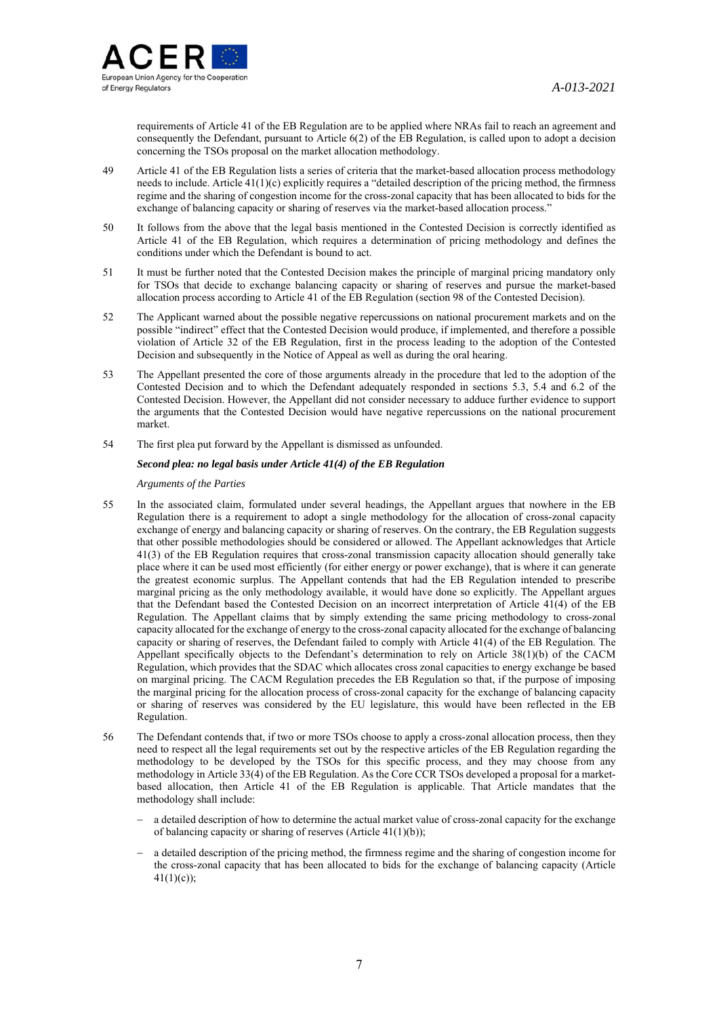

requirements of Article 41 of the EB Regulation are to be applied where NRAs fail to reach an agreement and consequently the Defendant, pursuant to Article 6(2) of the EB Regulation, is called upon to adopt a decision concerning the TSOs proposal on the market allocation methodology.

- 49 Article 41 of the EB Regulation lists a series of criteria that the market-based allocation process methodology needs to include. Article 41(1)(c) explicitly requires a "detailed description of the pricing method, the firmness regime and the sharing of congestion income for the cross-zonal capacity that has been allocated to bids for the exchange of balancing capacity or sharing of reserves via the market-based allocation process."
- 50 It follows from the above that the legal basis mentioned in the Contested Decision is correctly identified as Article 41 of the EB Regulation, which requires a determination of pricing methodology and defines the conditions under which the Defendant is bound to act.
- 51 It must be further noted that the Contested Decision makes the principle of marginal pricing mandatory only for TSOs that decide to exchange balancing capacity or sharing of reserves and pursue the market-based allocation process according to Article 41 of the EB Regulation (section 98 of the Contested Decision).
- 52 The Applicant warned about the possible negative repercussions on national procurement markets and on the possible "indirect" effect that the Contested Decision would produce, if implemented, and therefore a possible violation of Article 32 of the EB Regulation, first in the process leading to the adoption of the Contested Decision and subsequently in the Notice of Appeal as well as during the oral hearing.
- 53 The Appellant presented the core of those arguments already in the procedure that led to the adoption of the Contested Decision and to which the Defendant adequately responded in sections 5.3, 5.4 and 6.2 of the Contested Decision. However, the Appellant did not consider necessary to adduce further evidence to support the arguments that the Contested Decision would have negative repercussions on the national procurement market.
- 54 The first plea put forward by the Appellant is dismissed as unfounded.

### *Second plea: no legal basis under Article 41(4) of the EB Regulation*

*Arguments of the Parties*

- 55 In the associated claim, formulated under several headings, the Appellant argues that nowhere in the EB Regulation there is a requirement to adopt a single methodology for the allocation of cross-zonal capacity exchange of energy and balancing capacity or sharing of reserves. On the contrary, the EB Regulation suggests that other possible methodologies should be considered or allowed. The Appellant acknowledges that Article 41(3) of the EB Regulation requires that cross-zonal transmission capacity allocation should generally take place where it can be used most efficiently (for either energy or power exchange), that is where it can generate the greatest economic surplus. The Appellant contends that had the EB Regulation intended to prescribe marginal pricing as the only methodology available, it would have done so explicitly. The Appellant argues that the Defendant based the Contested Decision on an incorrect interpretation of Article 41(4) of the EB Regulation. The Appellant claims that by simply extending the same pricing methodology to cross-zonal capacity allocated for the exchange of energy to the cross-zonal capacity allocated for the exchange of balancing capacity or sharing of reserves, the Defendant failed to comply with Article 41(4) of the EB Regulation. The Appellant specifically objects to the Defendant's determination to rely on Article 38(1)(b) of the CACM Regulation, which provides that the SDAC which allocates cross zonal capacities to energy exchange be based on marginal pricing. The CACM Regulation precedes the EB Regulation so that, if the purpose of imposing the marginal pricing for the allocation process of cross-zonal capacity for the exchange of balancing capacity or sharing of reserves was considered by the EU legislature, this would have been reflected in the EB Regulation.
- 56 The Defendant contends that, if two or more TSOs choose to apply a cross-zonal allocation process, then they need to respect all the legal requirements set out by the respective articles of the EB Regulation regarding the methodology to be developed by the TSOs for this specific process, and they may choose from any methodology in Article 33(4) of the EB Regulation. As the Core CCR TSOs developed a proposal for a marketbased allocation, then Article 41 of the EB Regulation is applicable. That Article mandates that the methodology shall include:
	- a detailed description of how to determine the actual market value of cross-zonal capacity for the exchange of balancing capacity or sharing of reserves (Article 41(1)(b));
	- a detailed description of the pricing method, the firmness regime and the sharing of congestion income for the cross-zonal capacity that has been allocated to bids for the exchange of balancing capacity (Article  $41(1)(c)$ ;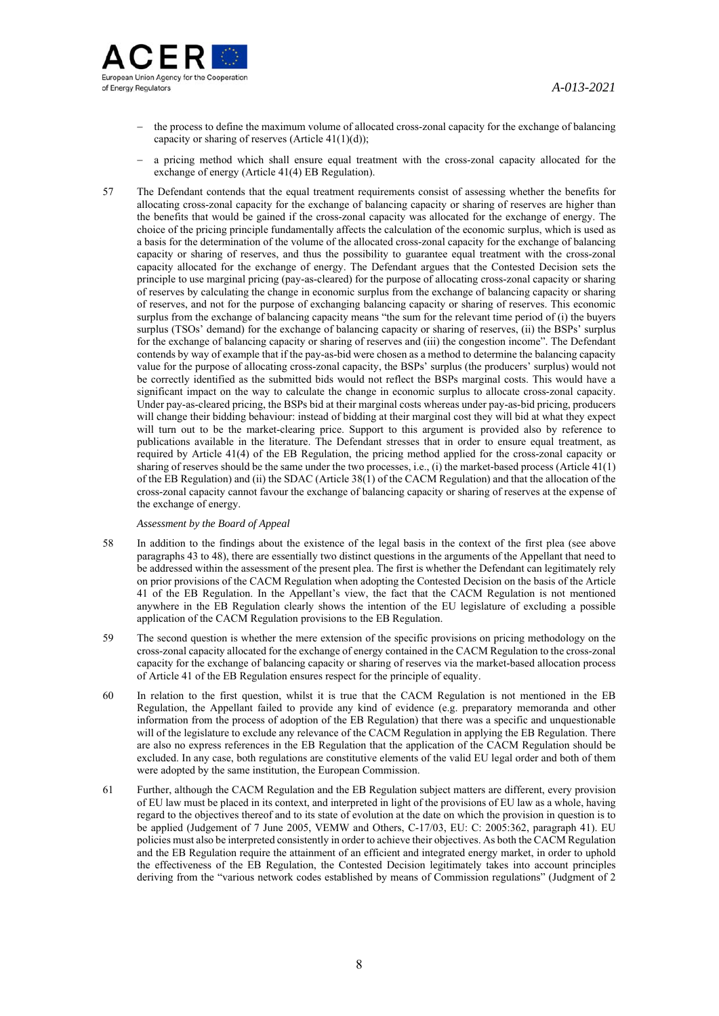

- $-$  the process to define the maximum volume of allocated cross-zonal capacity for the exchange of balancing capacity or sharing of reserves (Article  $41(1)(d)$ );
- a pricing method which shall ensure equal treatment with the cross-zonal capacity allocated for the exchange of energy (Article 41(4) EB Regulation).
- 57 The Defendant contends that the equal treatment requirements consist of assessing whether the benefits for allocating cross-zonal capacity for the exchange of balancing capacity or sharing of reserves are higher than the benefits that would be gained if the cross-zonal capacity was allocated for the exchange of energy. The choice of the pricing principle fundamentally affects the calculation of the economic surplus, which is used as a basis for the determination of the volume of the allocated cross-zonal capacity for the exchange of balancing capacity or sharing of reserves, and thus the possibility to guarantee equal treatment with the cross-zonal capacity allocated for the exchange of energy. The Defendant argues that the Contested Decision sets the principle to use marginal pricing (pay-as-cleared) for the purpose of allocating cross-zonal capacity or sharing of reserves by calculating the change in economic surplus from the exchange of balancing capacity or sharing of reserves, and not for the purpose of exchanging balancing capacity or sharing of reserves. This economic surplus from the exchange of balancing capacity means "the sum for the relevant time period of (i) the buyers surplus (TSOs' demand) for the exchange of balancing capacity or sharing of reserves, (ii) the BSPs' surplus for the exchange of balancing capacity or sharing of reserves and (iii) the congestion income". The Defendant contends by way of example that if the pay-as-bid were chosen as a method to determine the balancing capacity value for the purpose of allocating cross-zonal capacity, the BSPs' surplus (the producers' surplus) would not be correctly identified as the submitted bids would not reflect the BSPs marginal costs. This would have a significant impact on the way to calculate the change in economic surplus to allocate cross-zonal capacity. Under pay-as-cleared pricing, the BSPs bid at their marginal costs whereas under pay-as-bid pricing, producers will change their bidding behaviour: instead of bidding at their marginal cost they will bid at what they expect will turn out to be the market-clearing price. Support to this argument is provided also by reference to publications available in the literature. The Defendant stresses that in order to ensure equal treatment, as required by Article 41(4) of the EB Regulation, the pricing method applied for the cross-zonal capacity or sharing of reserves should be the same under the two processes, i.e., (i) the market-based process (Article 41(1) of the EB Regulation) and (ii) the SDAC (Article 38(1) of the CACM Regulation) and that the allocation of the cross-zonal capacity cannot favour the exchange of balancing capacity or sharing of reserves at the expense of the exchange of energy.

- 58 In addition to the findings about the existence of the legal basis in the context of the first plea (see above paragraphs 43 to 48), there are essentially two distinct questions in the arguments of the Appellant that need to be addressed within the assessment of the present plea. The first is whether the Defendant can legitimately rely on prior provisions of the CACM Regulation when adopting the Contested Decision on the basis of the Article 41 of the EB Regulation. In the Appellant's view, the fact that the CACM Regulation is not mentioned anywhere in the EB Regulation clearly shows the intention of the EU legislature of excluding a possible application of the CACM Regulation provisions to the EB Regulation.
- 59 The second question is whether the mere extension of the specific provisions on pricing methodology on the cross-zonal capacity allocated for the exchange of energy contained in the CACM Regulation to the cross-zonal capacity for the exchange of balancing capacity or sharing of reserves via the market-based allocation process of Article 41 of the EB Regulation ensures respect for the principle of equality.
- 60 In relation to the first question, whilst it is true that the CACM Regulation is not mentioned in the EB Regulation, the Appellant failed to provide any kind of evidence (e.g. preparatory memoranda and other information from the process of adoption of the EB Regulation) that there was a specific and unquestionable will of the legislature to exclude any relevance of the CACM Regulation in applying the EB Regulation. There are also no express references in the EB Regulation that the application of the CACM Regulation should be excluded. In any case, both regulations are constitutive elements of the valid EU legal order and both of them were adopted by the same institution, the European Commission.
- 61 Further, although the CACM Regulation and the EB Regulation subject matters are different, every provision of EU law must be placed in its context, and interpreted in light of the provisions of EU law as a whole, having regard to the objectives thereof and to its state of evolution at the date on which the provision in question is to be applied (Judgement of 7 June 2005, VEMW and Others, C-17/03, EU: C: 2005:362, paragraph 41). EU policies must also be interpreted consistently in order to achieve their objectives. As both the CACM Regulation and the EB Regulation require the attainment of an efficient and integrated energy market, in order to uphold the effectiveness of the EB Regulation, the Contested Decision legitimately takes into account principles deriving from the "various network codes established by means of Commission regulations" (Judgment of 2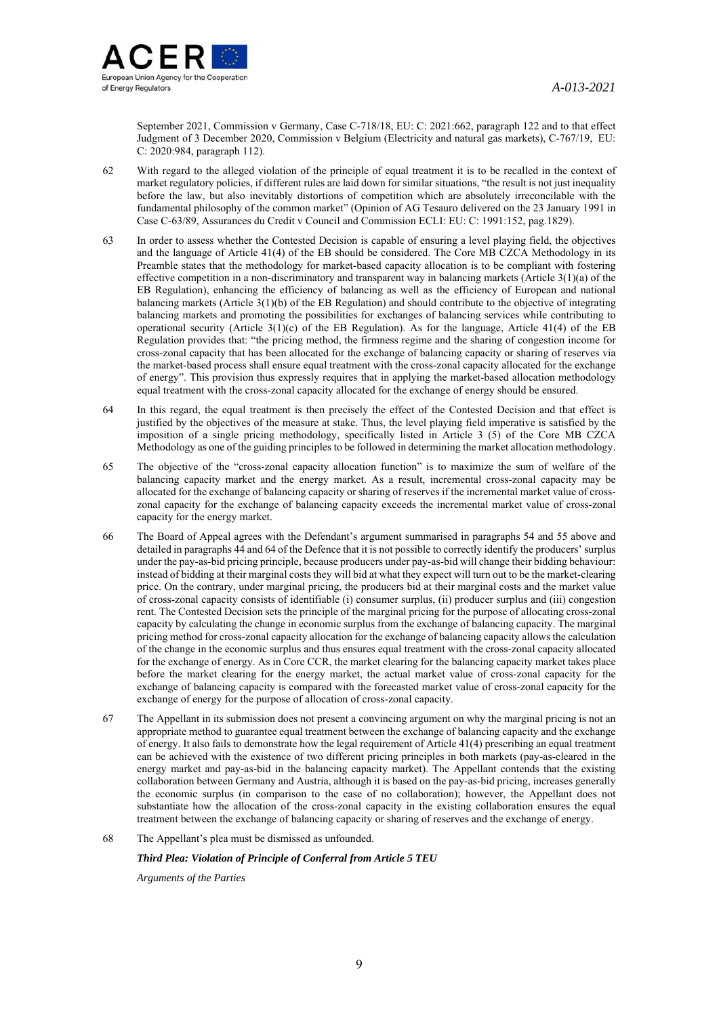

September 2021, Commission v Germany, Case C-718/18, EU: C: 2021:662, paragraph 122 and to that effect Judgment of 3 December 2020, Commission v Belgium (Electricity and natural gas markets), C-767/19, EU: C: 2020:984, paragraph 112).

- 62 With regard to the alleged violation of the principle of equal treatment it is to be recalled in the context of market regulatory policies, if different rules are laid down for similar situations, "the result is not just inequality before the law, but also inevitably distortions of competition which are absolutely irreconcilable with the fundamental philosophy of the common market" (Opinion of AG Tesauro delivered on the 23 January 1991 in Case C-63/89, Assurances du Credit v Council and Commission ECLI: EU: C: 1991:152, pag.1829).
- 63 In order to assess whether the Contested Decision is capable of ensuring a level playing field, the objectives and the language of Article 41(4) of the EB should be considered. The Core MB CZCA Methodology in its Preamble states that the methodology for market-based capacity allocation is to be compliant with fostering effective competition in a non-discriminatory and transparent way in balancing markets (Article 3(1)(a) of the EB Regulation), enhancing the efficiency of balancing as well as the efficiency of European and national balancing markets (Article 3(1)(b) of the EB Regulation) and should contribute to the objective of integrating balancing markets and promoting the possibilities for exchanges of balancing services while contributing to operational security (Article  $3(1)(c)$  of the EB Regulation). As for the language, Article  $41(4)$  of the EB Regulation provides that: "the pricing method, the firmness regime and the sharing of congestion income for cross-zonal capacity that has been allocated for the exchange of balancing capacity or sharing of reserves via the market-based process shall ensure equal treatment with the cross-zonal capacity allocated for the exchange of energy". This provision thus expressly requires that in applying the market-based allocation methodology equal treatment with the cross-zonal capacity allocated for the exchange of energy should be ensured.
- 64 In this regard, the equal treatment is then precisely the effect of the Contested Decision and that effect is justified by the objectives of the measure at stake. Thus, the level playing field imperative is satisfied by the imposition of a single pricing methodology, specifically listed in Article 3 (5) of the Core MB CZCA Methodology as one of the guiding principles to be followed in determining the market allocation methodology.
- 65 The objective of the "cross-zonal capacity allocation function" is to maximize the sum of welfare of the balancing capacity market and the energy market. As a result, incremental cross-zonal capacity may be allocated for the exchange of balancing capacity or sharing of reserves if the incremental market value of crosszonal capacity for the exchange of balancing capacity exceeds the incremental market value of cross-zonal capacity for the energy market.
- 66 The Board of Appeal agrees with the Defendant's argument summarised in paragraphs 54 and 55 above and detailed in paragraphs 44 and 64 of the Defence that it is not possible to correctly identify the producers' surplus under the pay-as-bid pricing principle, because producers under pay-as-bid will change their bidding behaviour: instead of bidding at their marginal costs they will bid at what they expect will turn out to be the market-clearing price. On the contrary, under marginal pricing, the producers bid at their marginal costs and the market value of cross-zonal capacity consists of identifiable (i) consumer surplus, (ii) producer surplus and (iii) congestion rent. The Contested Decision sets the principle of the marginal pricing for the purpose of allocating cross-zonal capacity by calculating the change in economic surplus from the exchange of balancing capacity. The marginal pricing method for cross-zonal capacity allocation for the exchange of balancing capacity allows the calculation of the change in the economic surplus and thus ensures equal treatment with the cross-zonal capacity allocated for the exchange of energy. As in Core CCR, the market clearing for the balancing capacity market takes place before the market clearing for the energy market, the actual market value of cross-zonal capacity for the exchange of balancing capacity is compared with the forecasted market value of cross-zonal capacity for the exchange of energy for the purpose of allocation of cross-zonal capacity.
- 67 The Appellant in its submission does not present a convincing argument on why the marginal pricing is not an appropriate method to guarantee equal treatment between the exchange of balancing capacity and the exchange of energy. It also fails to demonstrate how the legal requirement of Article 41(4) prescribing an equal treatment can be achieved with the existence of two different pricing principles in both markets (pay-as-cleared in the energy market and pay-as-bid in the balancing capacity market). The Appellant contends that the existing collaboration between Germany and Austria, although it is based on the pay-as-bid pricing, increases generally the economic surplus (in comparison to the case of no collaboration); however, the Appellant does not substantiate how the allocation of the cross-zonal capacity in the existing collaboration ensures the equal treatment between the exchange of balancing capacity or sharing of reserves and the exchange of energy.

### 68 The Appellant's plea must be dismissed as unfounded.

## *Third Plea: Violation of Principle of Conferral from Article 5 TEU*

*Arguments of the Parties*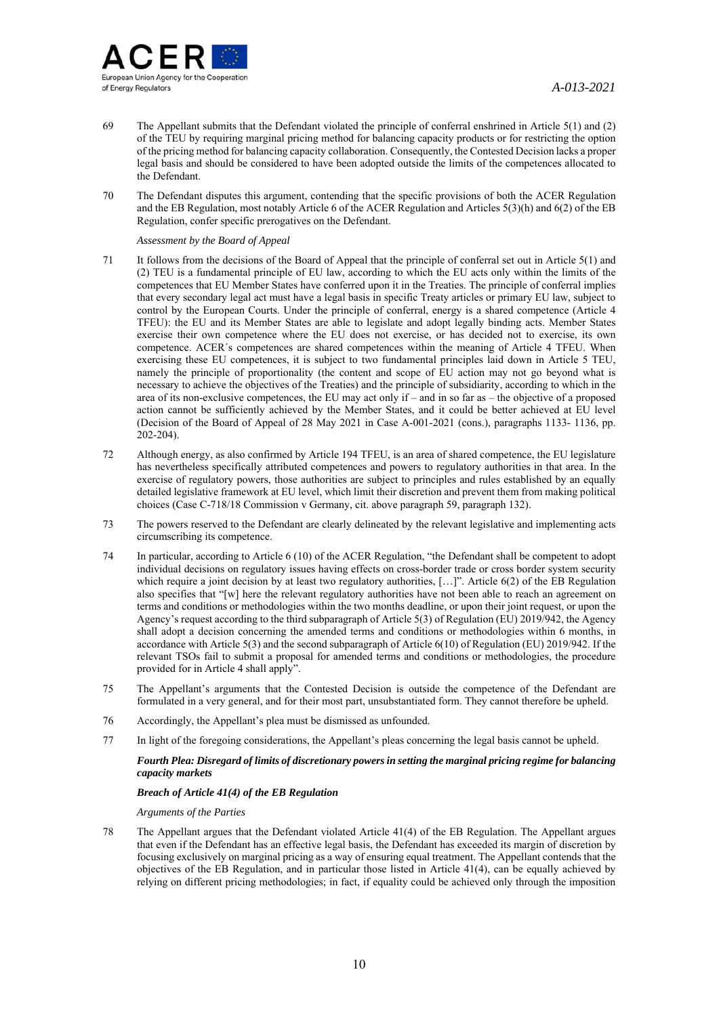

- 69 The Appellant submits that the Defendant violated the principle of conferral enshrined in Article 5(1) and (2) of the TEU by requiring marginal pricing method for balancing capacity products or for restricting the option of the pricing method for balancing capacity collaboration. Consequently, the Contested Decision lacks a proper legal basis and should be considered to have been adopted outside the limits of the competences allocated to the Defendant.
- 70 The Defendant disputes this argument, contending that the specific provisions of both the ACER Regulation and the EB Regulation, most notably Article 6 of the ACER Regulation and Articles 5(3)(h) and 6(2) of the EB Regulation, confer specific prerogatives on the Defendant.

*Assessment by the Board of Appeal* 

- 71 It follows from the decisions of the Board of Appeal that the principle of conferral set out in Article 5(1) and (2) TEU is a fundamental principle of EU law, according to which the EU acts only within the limits of the competences that EU Member States have conferred upon it in the Treaties. The principle of conferral implies that every secondary legal act must have a legal basis in specific Treaty articles or primary EU law, subject to control by the European Courts. Under the principle of conferral, energy is a shared competence (Article 4 TFEU): the EU and its Member States are able to legislate and adopt legally binding acts. Member States exercise their own competence where the EU does not exercise, or has decided not to exercise, its own competence. ACER´s competences are shared competences within the meaning of Article 4 TFEU. When exercising these EU competences, it is subject to two fundamental principles laid down in Article 5 TEU, namely the principle of proportionality (the content and scope of EU action may not go beyond what is necessary to achieve the objectives of the Treaties) and the principle of subsidiarity, according to which in the area of its non-exclusive competences, the EU may act only if  $-$  and in so far as  $-$  the objective of a proposed action cannot be sufficiently achieved by the Member States, and it could be better achieved at EU level (Decision of the Board of Appeal of 28 May 2021 in Case A-001-2021 (cons.), paragraphs 1133- 1136, pp. 202-204).
- 72 Although energy, as also confirmed by Article 194 TFEU, is an area of shared competence, the EU legislature has nevertheless specifically attributed competences and powers to regulatory authorities in that area. In the exercise of regulatory powers, those authorities are subject to principles and rules established by an equally detailed legislative framework at EU level, which limit their discretion and prevent them from making political choices (Case C-718/18 Commission v Germany, cit. above paragraph 59, paragraph 132).
- 73 The powers reserved to the Defendant are clearly delineated by the relevant legislative and implementing acts circumscribing its competence.
- 74 In particular, according to Article 6 (10) of the ACER Regulation, "the Defendant shall be competent to adopt individual decisions on regulatory issues having effects on cross-border trade or cross border system security which require a joint decision by at least two regulatory authorities, [...]". Article 6(2) of the EB Regulation also specifies that "[w] here the relevant regulatory authorities have not been able to reach an agreement on terms and conditions or methodologies within the two months deadline, or upon their joint request, or upon the Agency's request according to the third subparagraph of Article 5(3) of Regulation (EU) 2019/942, the Agency shall adopt a decision concerning the amended terms and conditions or methodologies within 6 months, in accordance with Article 5(3) and the second subparagraph of Article 6(10) of Regulation (EU) 2019/942. If the relevant TSOs fail to submit a proposal for amended terms and conditions or methodologies, the procedure provided for in Article 4 shall apply".
- 75 The Appellant's arguments that the Contested Decision is outside the competence of the Defendant are formulated in a very general, and for their most part, unsubstantiated form. They cannot therefore be upheld.
- 76 Accordingly, the Appellant's plea must be dismissed as unfounded.
- 77 In light of the foregoing considerations, the Appellant's pleas concerning the legal basis cannot be upheld.

## *Fourth Plea: Disregard of limits of discretionary powers in setting the marginal pricing regime for balancing capacity markets*

### *Breach of Article 41(4) of the EB Regulation*

*Arguments of the Parties*

78 The Appellant argues that the Defendant violated Article 41(4) of the EB Regulation. The Appellant argues that even if the Defendant has an effective legal basis, the Defendant has exceeded its margin of discretion by focusing exclusively on marginal pricing as a way of ensuring equal treatment. The Appellant contends that the objectives of the EB Regulation, and in particular those listed in Article 41(4), can be equally achieved by relying on different pricing methodologies; in fact, if equality could be achieved only through the imposition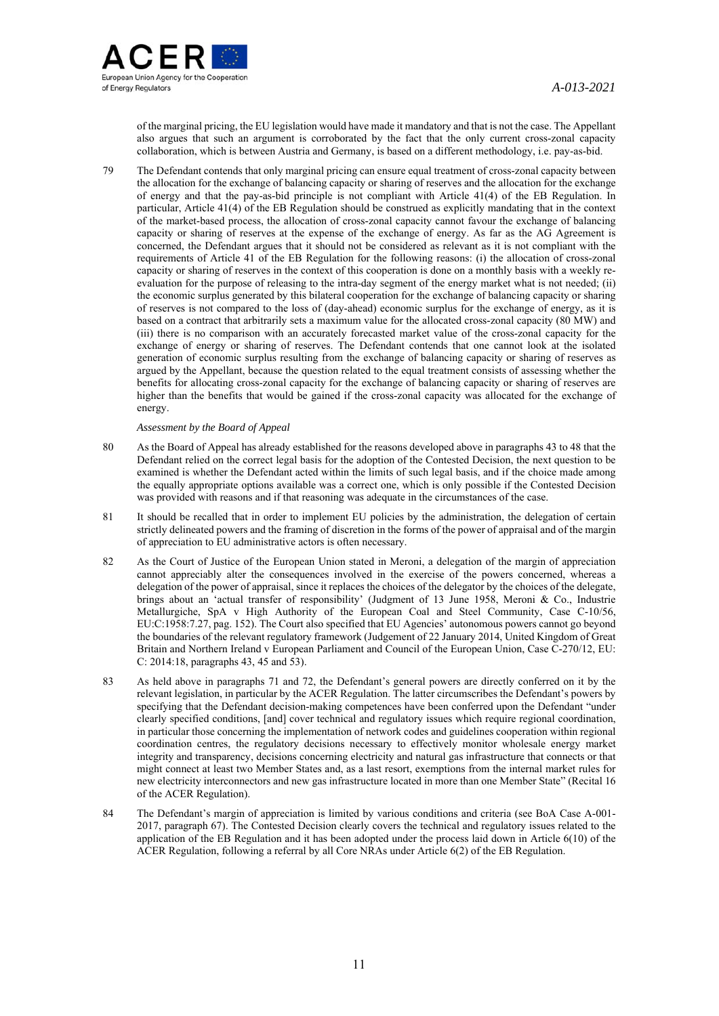

of the marginal pricing, the EU legislation would have made it mandatory and that is not the case. The Appellant also argues that such an argument is corroborated by the fact that the only current cross-zonal capacity collaboration, which is between Austria and Germany, is based on a different methodology, i.e. pay-as-bid.

79 The Defendant contends that only marginal pricing can ensure equal treatment of cross-zonal capacity between the allocation for the exchange of balancing capacity or sharing of reserves and the allocation for the exchange of energy and that the pay-as-bid principle is not compliant with Article 41(4) of the EB Regulation. In particular, Article 41(4) of the EB Regulation should be construed as explicitly mandating that in the context of the market-based process, the allocation of cross-zonal capacity cannot favour the exchange of balancing capacity or sharing of reserves at the expense of the exchange of energy. As far as the AG Agreement is concerned, the Defendant argues that it should not be considered as relevant as it is not compliant with the requirements of Article 41 of the EB Regulation for the following reasons: (i) the allocation of cross-zonal capacity or sharing of reserves in the context of this cooperation is done on a monthly basis with a weekly reevaluation for the purpose of releasing to the intra-day segment of the energy market what is not needed; (ii) the economic surplus generated by this bilateral cooperation for the exchange of balancing capacity or sharing of reserves is not compared to the loss of (day-ahead) economic surplus for the exchange of energy, as it is based on a contract that arbitrarily sets a maximum value for the allocated cross-zonal capacity (80 MW) and (iii) there is no comparison with an accurately forecasted market value of the cross-zonal capacity for the exchange of energy or sharing of reserves. The Defendant contends that one cannot look at the isolated generation of economic surplus resulting from the exchange of balancing capacity or sharing of reserves as argued by the Appellant, because the question related to the equal treatment consists of assessing whether the benefits for allocating cross-zonal capacity for the exchange of balancing capacity or sharing of reserves are higher than the benefits that would be gained if the cross-zonal capacity was allocated for the exchange of energy.

- 80 As the Board of Appeal has already established for the reasons developed above in paragraphs 43 to 48 that the Defendant relied on the correct legal basis for the adoption of the Contested Decision, the next question to be examined is whether the Defendant acted within the limits of such legal basis, and if the choice made among the equally appropriate options available was a correct one, which is only possible if the Contested Decision was provided with reasons and if that reasoning was adequate in the circumstances of the case.
- 81 It should be recalled that in order to implement EU policies by the administration, the delegation of certain strictly delineated powers and the framing of discretion in the forms of the power of appraisal and of the margin of appreciation to EU administrative actors is often necessary.
- 82 As the Court of Justice of the European Union stated in Meroni, a delegation of the margin of appreciation cannot appreciably alter the consequences involved in the exercise of the powers concerned, whereas a delegation of the power of appraisal, since it replaces the choices of the delegator by the choices of the delegate, brings about an 'actual transfer of responsibility' (Judgment of 13 June 1958, Meroni & Co., Industrie Metallurgiche, SpA v High Authority of the European Coal and Steel Community, Case C-10/56, EU:C:1958:7.27, pag. 152). The Court also specified that EU Agencies' autonomous powers cannot go beyond the boundaries of the relevant regulatory framework (Judgement of 22 January 2014, United Kingdom of Great Britain and Northern Ireland v European Parliament and Council of the European Union, Case C-270/12, EU: C: 2014:18, paragraphs 43, 45 and  $\bar{53}$ ).
- 83 As held above in paragraphs 71 and 72, the Defendant's general powers are directly conferred on it by the relevant legislation, in particular by the ACER Regulation. The latter circumscribes the Defendant's powers by specifying that the Defendant decision-making competences have been conferred upon the Defendant "under clearly specified conditions, [and] cover technical and regulatory issues which require regional coordination, in particular those concerning the implementation of network codes and guidelines cooperation within regional coordination centres, the regulatory decisions necessary to effectively monitor wholesale energy market integrity and transparency, decisions concerning electricity and natural gas infrastructure that connects or that might connect at least two Member States and, as a last resort, exemptions from the internal market rules for new electricity interconnectors and new gas infrastructure located in more than one Member State" (Recital 16 of the ACER Regulation).
- 84 The Defendant's margin of appreciation is limited by various conditions and criteria (see BoA Case A-001- 2017, paragraph 67). The Contested Decision clearly covers the technical and regulatory issues related to the application of the EB Regulation and it has been adopted under the process laid down in Article 6(10) of the ACER Regulation, following a referral by all Core NRAs under Article 6(2) of the EB Regulation.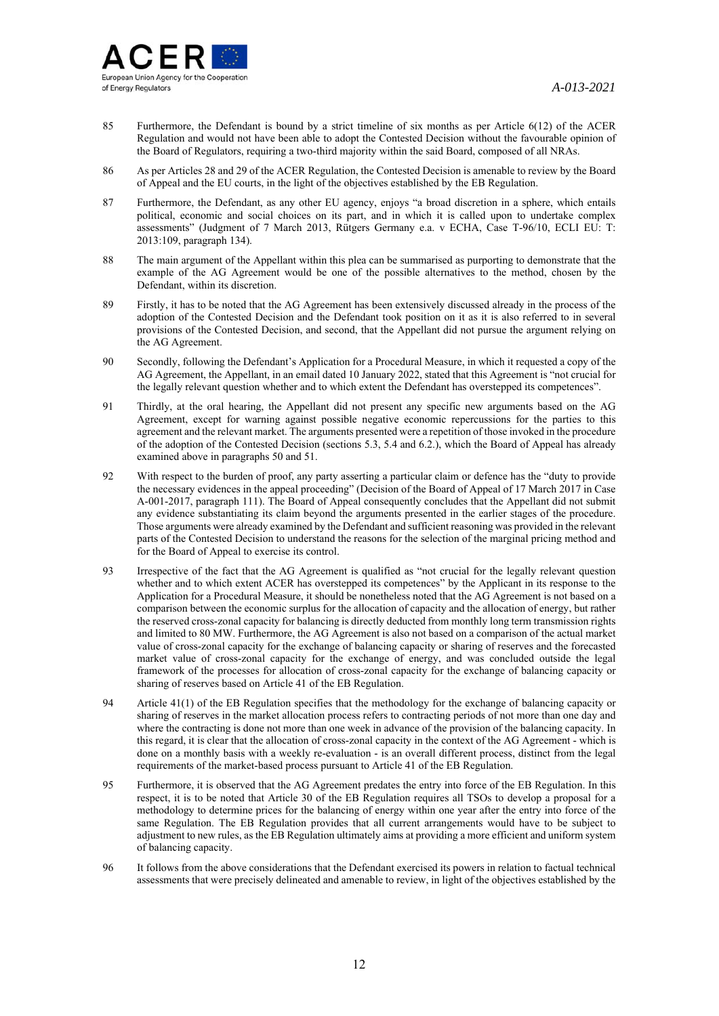- 85 Furthermore, the Defendant is bound by a strict timeline of six months as per Article 6(12) of the ACER Regulation and would not have been able to adopt the Contested Decision without the favourable opinion of the Board of Regulators, requiring a two-third majority within the said Board, composed of all NRAs.
- 86 As per Articles 28 and 29 of the ACER Regulation, the Contested Decision is amenable to review by the Board of Appeal and the EU courts, in the light of the objectives established by the EB Regulation.
- 87 Furthermore, the Defendant, as any other EU agency, enjoys "a broad discretion in a sphere, which entails political, economic and social choices on its part, and in which it is called upon to undertake complex assessments" (Judgment of 7 March 2013, Rütgers Germany e.a. v ECHA, Case T-96/10, ECLI EU: T: 2013:109, paragraph 134).
- 88 The main argument of the Appellant within this plea can be summarised as purporting to demonstrate that the example of the AG Agreement would be one of the possible alternatives to the method, chosen by the Defendant, within its discretion.
- 89 Firstly, it has to be noted that the AG Agreement has been extensively discussed already in the process of the adoption of the Contested Decision and the Defendant took position on it as it is also referred to in several provisions of the Contested Decision, and second, that the Appellant did not pursue the argument relying on the AG Agreement.
- 90 Secondly, following the Defendant's Application for a Procedural Measure, in which it requested a copy of the AG Agreement, the Appellant, in an email dated 10 January 2022, stated that this Agreement is "not crucial for the legally relevant question whether and to which extent the Defendant has overstepped its competences".
- 91 Thirdly, at the oral hearing, the Appellant did not present any specific new arguments based on the AG Agreement, except for warning against possible negative economic repercussions for the parties to this agreement and the relevant market. The arguments presented were a repetition of those invoked in the procedure of the adoption of the Contested Decision (sections 5.3, 5.4 and 6.2.), which the Board of Appeal has already examined above in paragraphs 50 and 51.
- 92 With respect to the burden of proof, any party asserting a particular claim or defence has the "duty to provide the necessary evidences in the appeal proceeding" (Decision of the Board of Appeal of 17 March 2017 in Case A-001-2017, paragraph 111). The Board of Appeal consequently concludes that the Appellant did not submit any evidence substantiating its claim beyond the arguments presented in the earlier stages of the procedure. Those arguments were already examined by the Defendant and sufficient reasoning was provided in the relevant parts of the Contested Decision to understand the reasons for the selection of the marginal pricing method and for the Board of Appeal to exercise its control.
- 93 Irrespective of the fact that the AG Agreement is qualified as "not crucial for the legally relevant question whether and to which extent ACER has overstepped its competences" by the Applicant in its response to the Application for a Procedural Measure, it should be nonetheless noted that the AG Agreement is not based on a comparison between the economic surplus for the allocation of capacity and the allocation of energy, but rather the reserved cross-zonal capacity for balancing is directly deducted from monthly long term transmission rights and limited to 80 MW. Furthermore, the AG Agreement is also not based on a comparison of the actual market value of cross-zonal capacity for the exchange of balancing capacity or sharing of reserves and the forecasted market value of cross-zonal capacity for the exchange of energy, and was concluded outside the legal framework of the processes for allocation of cross-zonal capacity for the exchange of balancing capacity or sharing of reserves based on Article 41 of the EB Regulation.
- 94 Article 41(1) of the EB Regulation specifies that the methodology for the exchange of balancing capacity or sharing of reserves in the market allocation process refers to contracting periods of not more than one day and where the contracting is done not more than one week in advance of the provision of the balancing capacity. In this regard, it is clear that the allocation of cross-zonal capacity in the context of the AG Agreement - which is done on a monthly basis with a weekly re-evaluation - is an overall different process, distinct from the legal requirements of the market-based process pursuant to Article 41 of the EB Regulation.
- 95 Furthermore, it is observed that the AG Agreement predates the entry into force of the EB Regulation. In this respect, it is to be noted that Article 30 of the EB Regulation requires all TSOs to develop a proposal for a methodology to determine prices for the balancing of energy within one year after the entry into force of the same Regulation. The EB Regulation provides that all current arrangements would have to be subject to adjustment to new rules, as the EB Regulation ultimately aims at providing a more efficient and uniform system of balancing capacity.
- 96 It follows from the above considerations that the Defendant exercised its powers in relation to factual technical assessments that were precisely delineated and amenable to review, in light of the objectives established by the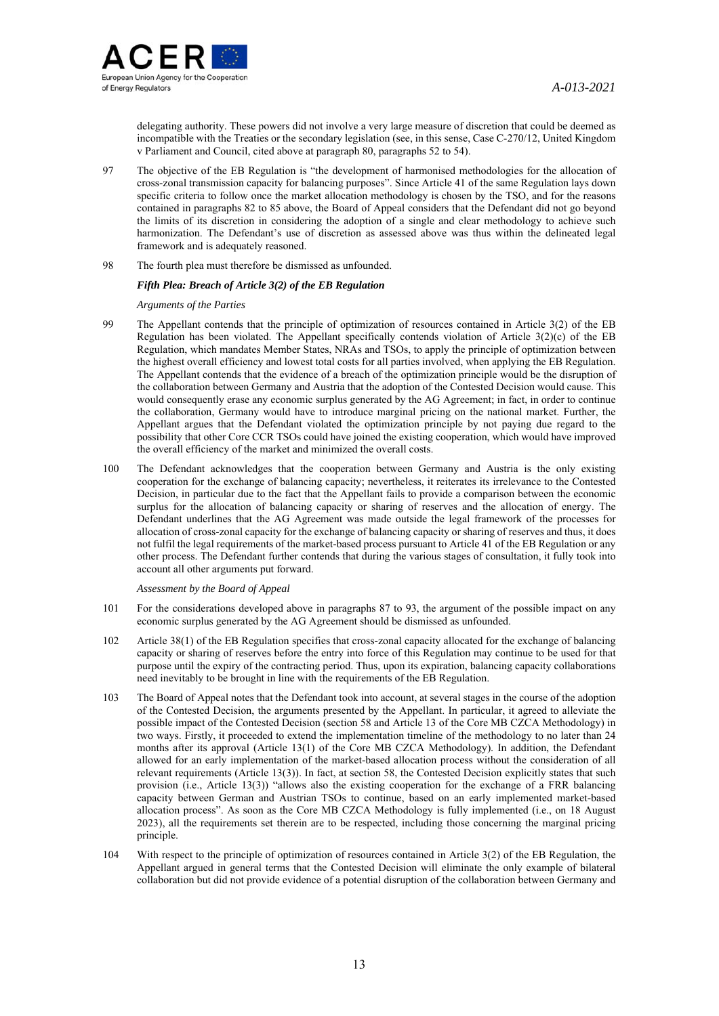

delegating authority. These powers did not involve a very large measure of discretion that could be deemed as incompatible with the Treaties or the secondary legislation (see, in this sense, Case C-270/12, United Kingdom v Parliament and Council, cited above at paragraph 80, paragraphs 52 to 54).

- 97 The objective of the EB Regulation is "the development of harmonised methodologies for the allocation of cross-zonal transmission capacity for balancing purposes". Since Article 41 of the same Regulation lays down specific criteria to follow once the market allocation methodology is chosen by the TSO, and for the reasons contained in paragraphs 82 to 85 above, the Board of Appeal considers that the Defendant did not go beyond the limits of its discretion in considering the adoption of a single and clear methodology to achieve such harmonization. The Defendant's use of discretion as assessed above was thus within the delineated legal framework and is adequately reasoned.
- 98 The fourth plea must therefore be dismissed as unfounded.

# *Fifth Plea: Breach of Article 3(2) of the EB Regulation*

#### *Arguments of the Parties*

- 99 The Appellant contends that the principle of optimization of resources contained in Article 3(2) of the EB Regulation has been violated. The Appellant specifically contends violation of Article 3(2)(c) of the EB Regulation, which mandates Member States, NRAs and TSOs, to apply the principle of optimization between the highest overall efficiency and lowest total costs for all parties involved, when applying the EB Regulation. The Appellant contends that the evidence of a breach of the optimization principle would be the disruption of the collaboration between Germany and Austria that the adoption of the Contested Decision would cause. This would consequently erase any economic surplus generated by the AG Agreement; in fact, in order to continue the collaboration, Germany would have to introduce marginal pricing on the national market. Further, the Appellant argues that the Defendant violated the optimization principle by not paying due regard to the possibility that other Core CCR TSOs could have joined the existing cooperation, which would have improved the overall efficiency of the market and minimized the overall costs.
- 100 The Defendant acknowledges that the cooperation between Germany and Austria is the only existing cooperation for the exchange of balancing capacity; nevertheless, it reiterates its irrelevance to the Contested Decision, in particular due to the fact that the Appellant fails to provide a comparison between the economic surplus for the allocation of balancing capacity or sharing of reserves and the allocation of energy. The Defendant underlines that the AG Agreement was made outside the legal framework of the processes for allocation of cross-zonal capacity for the exchange of balancing capacity or sharing of reserves and thus, it does not fulfil the legal requirements of the market-based process pursuant to Article 41 of the EB Regulation or any other process. The Defendant further contends that during the various stages of consultation, it fully took into account all other arguments put forward.

- 101 For the considerations developed above in paragraphs 87 to 93, the argument of the possible impact on any economic surplus generated by the AG Agreement should be dismissed as unfounded.
- 102 Article 38(1) of the EB Regulation specifies that cross-zonal capacity allocated for the exchange of balancing capacity or sharing of reserves before the entry into force of this Regulation may continue to be used for that purpose until the expiry of the contracting period. Thus, upon its expiration, balancing capacity collaborations need inevitably to be brought in line with the requirements of the EB Regulation.
- 103 The Board of Appeal notes that the Defendant took into account, at several stages in the course of the adoption of the Contested Decision, the arguments presented by the Appellant. In particular, it agreed to alleviate the possible impact of the Contested Decision (section 58 and Article 13 of the Core MB CZCA Methodology) in two ways. Firstly, it proceeded to extend the implementation timeline of the methodology to no later than 24 months after its approval (Article 13(1) of the Core MB CZCA Methodology). In addition, the Defendant allowed for an early implementation of the market-based allocation process without the consideration of all relevant requirements (Article 13(3)). In fact, at section 58, the Contested Decision explicitly states that such provision (i.e., Article 13(3)) "allows also the existing cooperation for the exchange of a FRR balancing capacity between German and Austrian TSOs to continue, based on an early implemented market-based allocation process". As soon as the Core MB CZCA Methodology is fully implemented (i.e., on 18 August 2023), all the requirements set therein are to be respected, including those concerning the marginal pricing principle.
- 104 With respect to the principle of optimization of resources contained in Article 3(2) of the EB Regulation, the Appellant argued in general terms that the Contested Decision will eliminate the only example of bilateral collaboration but did not provide evidence of a potential disruption of the collaboration between Germany and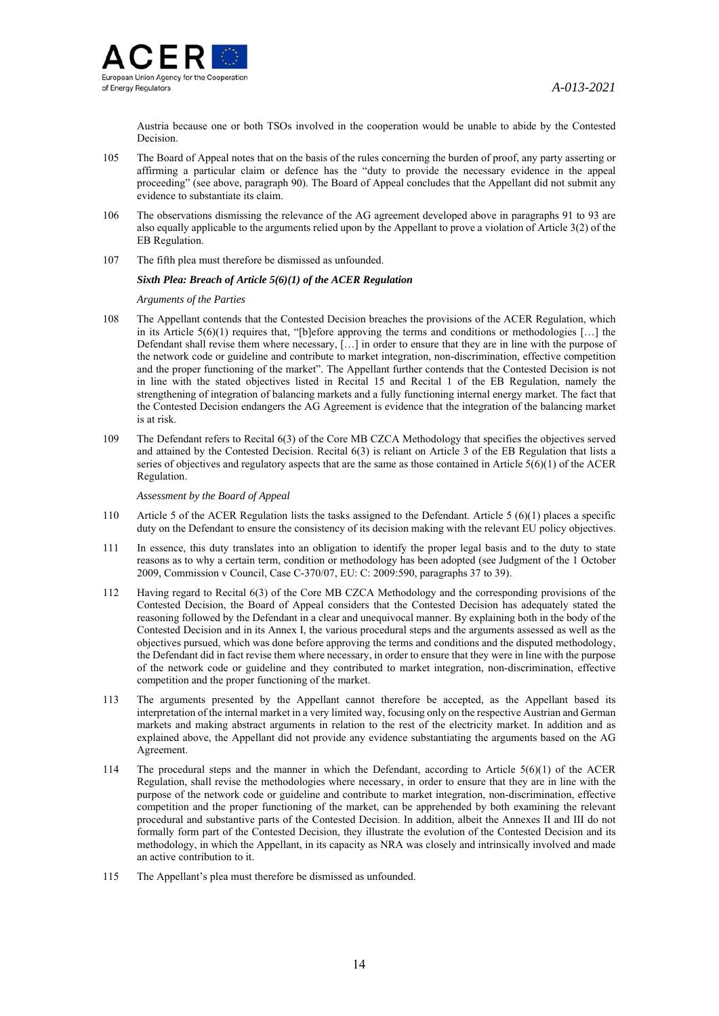

Austria because one or both TSOs involved in the cooperation would be unable to abide by the Contested Decision.

- 105 The Board of Appeal notes that on the basis of the rules concerning the burden of proof, any party asserting or affirming a particular claim or defence has the "duty to provide the necessary evidence in the appeal proceeding" (see above, paragraph 90). The Board of Appeal concludes that the Appellant did not submit any evidence to substantiate its claim.
- 106 The observations dismissing the relevance of the AG agreement developed above in paragraphs 91 to 93 are also equally applicable to the arguments relied upon by the Appellant to prove a violation of Article 3(2) of the EB Regulation.
- 107 The fifth plea must therefore be dismissed as unfounded.

### *Sixth Plea: Breach of Article 5(6)(1) of the ACER Regulation*

*Arguments of the Parties*

- 108 The Appellant contends that the Contested Decision breaches the provisions of the ACER Regulation, which in its Article  $5(6)(1)$  requires that, "[b]efore approving the terms and conditions or methodologies [...] the Defendant shall revise them where necessary, […] in order to ensure that they are in line with the purpose of the network code or guideline and contribute to market integration, non-discrimination, effective competition and the proper functioning of the market". The Appellant further contends that the Contested Decision is not in line with the stated objectives listed in Recital 15 and Recital 1 of the EB Regulation, namely the strengthening of integration of balancing markets and a fully functioning internal energy market. The fact that the Contested Decision endangers the AG Agreement is evidence that the integration of the balancing market is at risk.
- 109 The Defendant refers to Recital 6(3) of the Core MB CZCA Methodology that specifies the objectives served and attained by the Contested Decision. Recital 6(3) is reliant on Article 3 of the EB Regulation that lists a series of objectives and regulatory aspects that are the same as those contained in Article  $5(6)(1)$  of the ACER Regulation.

- 110 Article 5 of the ACER Regulation lists the tasks assigned to the Defendant. Article 5 (6)(1) places a specific duty on the Defendant to ensure the consistency of its decision making with the relevant EU policy objectives.
- 111 In essence, this duty translates into an obligation to identify the proper legal basis and to the duty to state reasons as to why a certain term, condition or methodology has been adopted (see Judgment of the 1 October 2009, Commission v Council, Case C-370/07, EU: C: 2009:590, paragraphs 37 to 39).
- 112 Having regard to Recital 6(3) of the Core MB CZCA Methodology and the corresponding provisions of the Contested Decision, the Board of Appeal considers that the Contested Decision has adequately stated the reasoning followed by the Defendant in a clear and unequivocal manner. By explaining both in the body of the Contested Decision and in its Annex I, the various procedural steps and the arguments assessed as well as the objectives pursued, which was done before approving the terms and conditions and the disputed methodology, the Defendant did in fact revise them where necessary, in order to ensure that they were in line with the purpose of the network code or guideline and they contributed to market integration, non-discrimination, effective competition and the proper functioning of the market.
- 113 The arguments presented by the Appellant cannot therefore be accepted, as the Appellant based its interpretation of the internal market in a very limited way, focusing only on the respective Austrian and German markets and making abstract arguments in relation to the rest of the electricity market. In addition and as explained above, the Appellant did not provide any evidence substantiating the arguments based on the AG Agreement.
- 114 The procedural steps and the manner in which the Defendant, according to Article 5(6)(1) of the ACER Regulation, shall revise the methodologies where necessary, in order to ensure that they are in line with the purpose of the network code or guideline and contribute to market integration, non-discrimination, effective competition and the proper functioning of the market, can be apprehended by both examining the relevant procedural and substantive parts of the Contested Decision. In addition, albeit the Annexes II and III do not formally form part of the Contested Decision, they illustrate the evolution of the Contested Decision and its methodology, in which the Appellant, in its capacity as NRA was closely and intrinsically involved and made an active contribution to it.
- 115 The Appellant's plea must therefore be dismissed as unfounded.